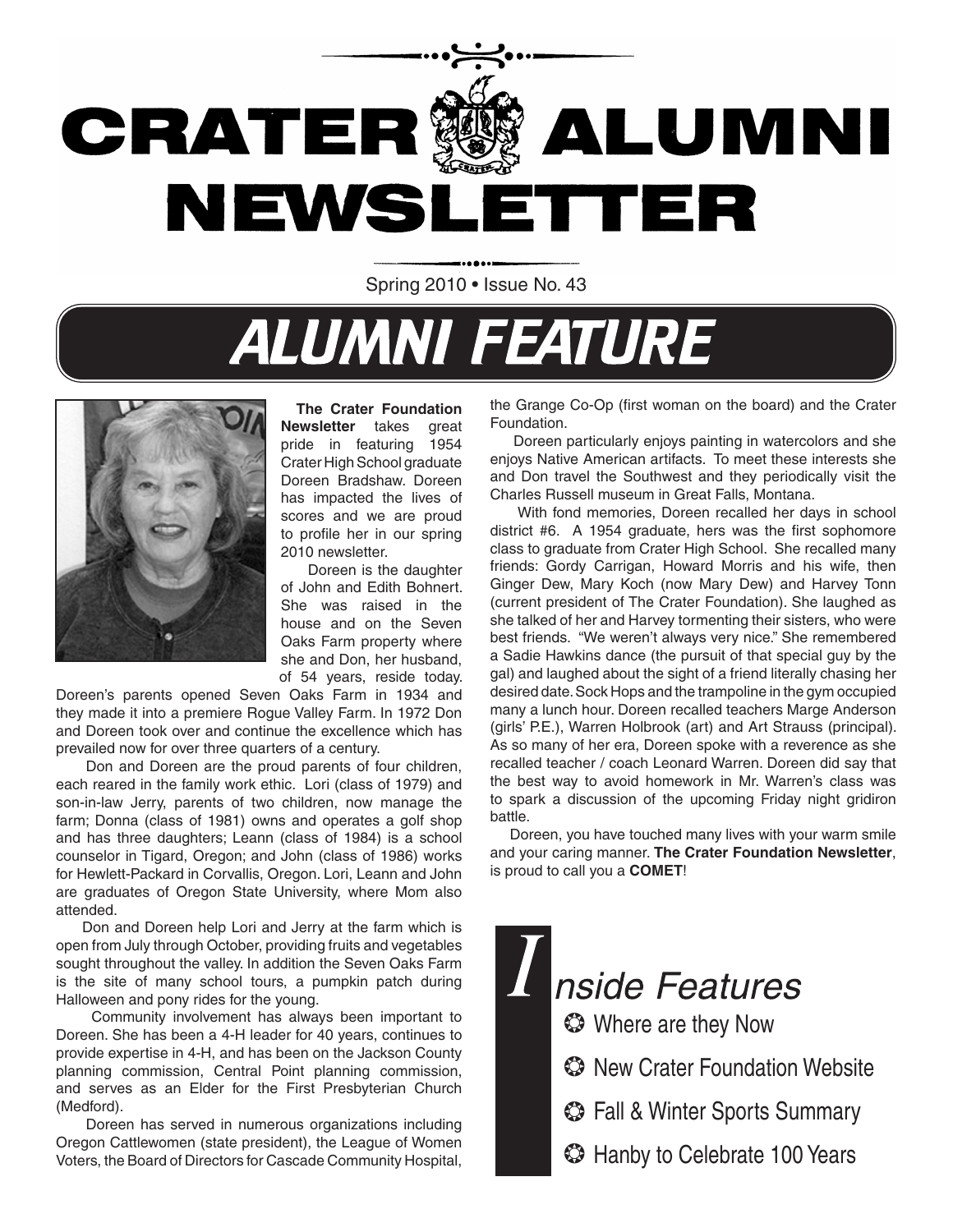

Spring 2010 • Issue No. 43

# **ALUMNI FEATURE**



 **The Crater Foundation Newsletter** takes great pride in featuring 1954 Crater High School graduate Doreen Bradshaw. Doreen has impacted the lives of scores and we are proud to profile her in our spring 2010 newsletter.

 Doreen is the daughter of John and Edith Bohnert. She was raised in the house and on the Seven Oaks Farm property where she and Don, her husband, of 54 years, reside today.

Doreen's parents opened Seven Oaks Farm in 1934 and they made it into a premiere Rogue Valley Farm. In 1972 Don and Doreen took over and continue the excellence which has prevailed now for over three quarters of a century.

 Don and Doreen are the proud parents of four children, each reared in the family work ethic. Lori (class of 1979) and son-in-law Jerry, parents of two children, now manage the farm; Donna (class of 1981) owns and operates a golf shop and has three daughters; Leann (class of 1984) is a school counselor in Tigard, Oregon; and John (class of 1986) works for Hewlett-Packard in Corvallis, Oregon. Lori, Leann and John are graduates of Oregon State University, where Mom also attended.

 Don and Doreen help Lori and Jerry at the farm which is open from July through October, providing fruits and vegetables sought throughout the valley. In addition the Seven Oaks Farm is the site of many school tours, a pumpkin patch during Halloween and pony rides for the young.

 Community involvement has always been important to Doreen. She has been a 4-H leader for 40 years, continues to provide expertise in 4-H, and has been on the Jackson County planning commission, Central Point planning commission, and serves as an Elder for the First Presbyterian Church (Medford).

 Doreen has served in numerous organizations including Oregon Cattlewomen (state president), the League of Women Voters, the Board of Directors for Cascade Community Hospital,

the Grange Co-Op (first woman on the board) and the Crater Foundation.

 Doreen particularly enjoys painting in watercolors and she enjoys Native American artifacts. To meet these interests she and Don travel the Southwest and they periodically visit the Charles Russell museum in Great Falls, Montana.

 With fond memories, Doreen recalled her days in school district #6. A 1954 graduate, hers was the first sophomore class to graduate from Crater High School. She recalled many friends: Gordy Carrigan, Howard Morris and his wife, then Ginger Dew, Mary Koch (now Mary Dew) and Harvey Tonn (current president of The Crater Foundation). She laughed as she talked of her and Harvey tormenting their sisters, who were best friends. "We weren't always very nice." She remembered a Sadie Hawkins dance (the pursuit of that special guy by the gal) and laughed about the sight of a friend literally chasing her desired date. Sock Hops and the trampoline in the gym occupied many a lunch hour. Doreen recalled teachers Marge Anderson (girls' P.E.), Warren Holbrook (art) and Art Strauss (principal). As so many of her era, Doreen spoke with a reverence as she recalled teacher / coach Leonard Warren. Doreen did say that the best way to avoid homework in Mr. Warren's class was to spark a discussion of the upcoming Friday night gridiron battle.

 Doreen, you have touched many lives with your warm smile and your caring manner. **The Crater Foundation Newsletter**, is proud to call you a **COMET**!

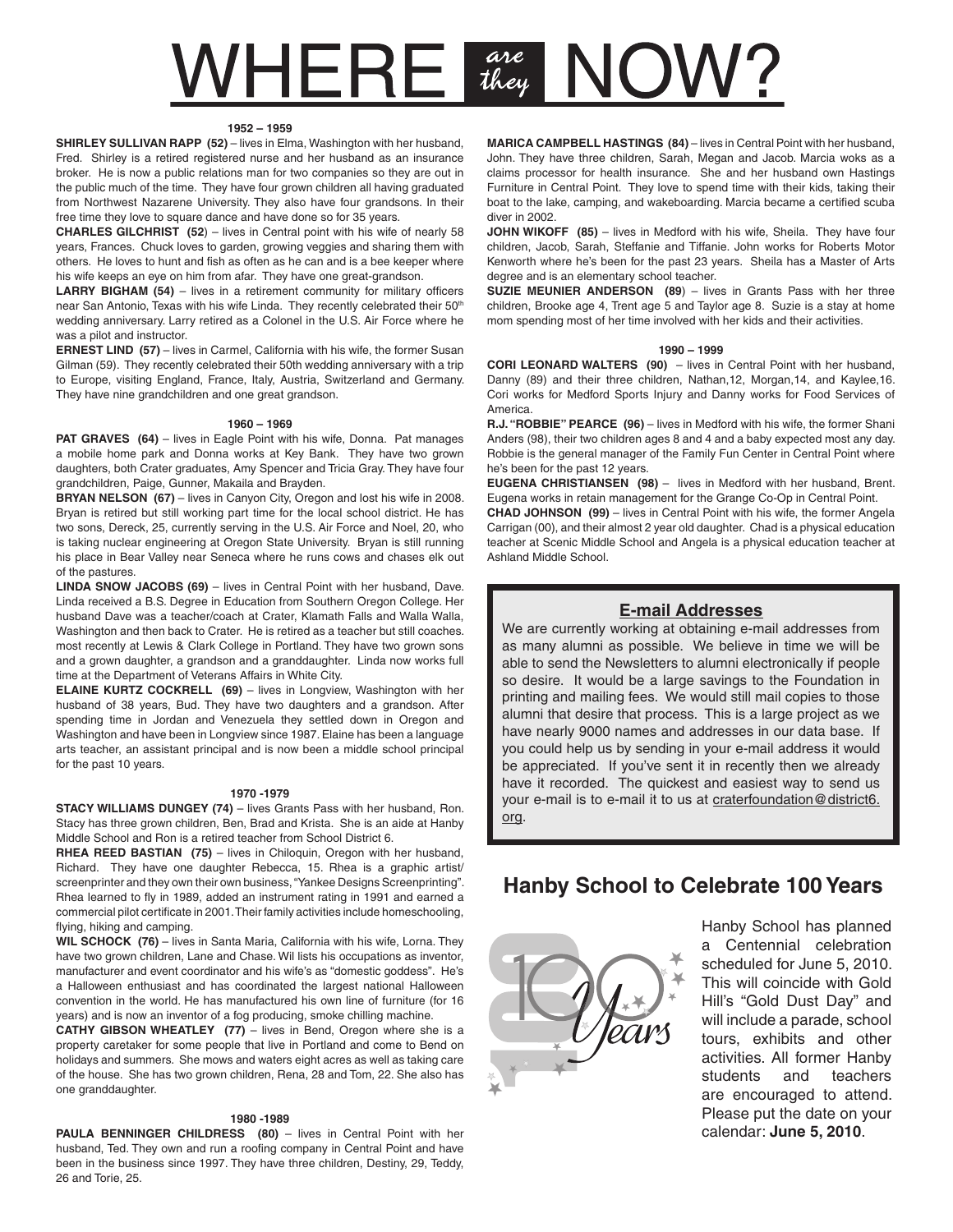# $VHERE$   $\frac{are}{they}$ C JW

#### **1952 – 1959**

**SHIRLEY SULLIVAN RAPP (52)** – lives in Elma, Washington with her husband, Fred. Shirley is a retired registered nurse and her husband as an insurance broker. He is now a public relations man for two companies so they are out in the public much of the time. They have four grown children all having graduated from Northwest Nazarene University. They also have four grandsons. In their free time they love to square dance and have done so for 35 years.

**CHARLES GILCHRIST (52**) – lives in Central point with his wife of nearly 58 years, Frances. Chuck loves to garden, growing veggies and sharing them with others. He loves to hunt and fish as often as he can and is a bee keeper where his wife keeps an eye on him from afar. They have one great-grandson.

LARRY BIGHAM (54) – lives in a retirement community for military officers near San Antonio, Texas with his wife Linda. They recently celebrated their 50<sup>th</sup> wedding anniversary. Larry retired as a Colonel in the U.S. Air Force where he was a pilot and instructor.

**ERNEST LIND (57)** – lives in Carmel, California with his wife, the former Susan Gilman (59). They recently celebrated their 50th wedding anniversary with a trip to Europe, visiting England, France, Italy, Austria, Switzerland and Germany. They have nine grandchildren and one great grandson.

#### **1960 – 1969**

**PAT GRAVES** (64) – lives in Eagle Point with his wife, Donna. Pat manages a mobile home park and Donna works at Key Bank. They have two grown daughters, both Crater graduates, Amy Spencer and Tricia Gray. They have four grandchildren, Paige, Gunner, Makaila and Brayden.

**BRYAN NELSON (67)** – lives in Canyon City, Oregon and lost his wife in 2008. Bryan is retired but still working part time for the local school district. He has two sons, Dereck, 25, currently serving in the U.S. Air Force and Noel, 20, who is taking nuclear engineering at Oregon State University. Bryan is still running his place in Bear Valley near Seneca where he runs cows and chases elk out of the pastures.

**LINDA SNOW JACOBS (69)** – lives in Central Point with her husband, Dave. Linda received a B.S. Degree in Education from Southern Oregon College. Her husband Dave was a teacher/coach at Crater, Klamath Falls and Walla Walla, Washington and then back to Crater. He is retired as a teacher but still coaches. most recently at Lewis & Clark College in Portland. They have two grown sons and a grown daughter, a grandson and a granddaughter. Linda now works full time at the Department of Veterans Affairs in White City.

**ELAINE KURTZ COCKRELL (69)** – lives in Longview, Washington with her husband of 38 years, Bud. They have two daughters and a grandson. After spending time in Jordan and Venezuela they settled down in Oregon and Washington and have been in Longview since 1987. Elaine has been a language arts teacher, an assistant principal and is now been a middle school principal for the past 10 years.

#### **1970 -1979**

**STACY WILLIAMS DUNGEY (74)** – lives Grants Pass with her husband, Ron. Stacy has three grown children, Ben, Brad and Krista. She is an aide at Hanby Middle School and Ron is a retired teacher from School District 6.

RHEA REED BASTIAN (75) – lives in Chiloquin, Oregon with her husband, Richard. They have one daughter Rebecca, 15. Rhea is a graphic artist/ screenprinter and they own their own business, "Yankee Designs Screenprinting". Rhea learned to fly in 1989, added an instrument rating in 1991 and earned a commercial pilot certificate in 2001. Their family activities include homeschooling, flying, hiking and camping.

**WIL SCHOCK (76)** – lives in Santa Maria, California with his wife, Lorna. They have two grown children, Lane and Chase. Wil lists his occupations as inventor, manufacturer and event coordinator and his wife's as "domestic goddess". He's a Halloween enthusiast and has coordinated the largest national Halloween convention in the world. He has manufactured his own line of furniture (for 16 years) and is now an inventor of a fog producing, smoke chilling machine.

**CATHY GIBSON WHEATLEY (77)** – lives in Bend, Oregon where she is a property caretaker for some people that live in Portland and come to Bend on holidays and summers. She mows and waters eight acres as well as taking care of the house. She has two grown children, Rena, 28 and Tom, 22. She also has one granddaughter.

#### **1980 -1989**

**PAULA BENNINGER CHILDRESS** (80) – lives in Central Point with her husband, Ted. They own and run a roofing company in Central Point and have been in the business since 1997. They have three children, Destiny, 29, Teddy, 26 and Torie, 25.

**MARICA CAMPBELL HASTINGS (84)** – lives in Central Point with her husband, John. They have three children, Sarah, Megan and Jacob. Marcia woks as a claims processor for health insurance. She and her husband own Hastings Furniture in Central Point. They love to spend time with their kids, taking their boat to the lake, camping, and wakeboarding. Marcia became a certified scuba diver in 2002.

**JOHN WIKOFF (85)** – lives in Medford with his wife, Sheila. They have four children, Jacob, Sarah, Steffanie and Tiffanie. John works for Roberts Motor Kenworth where he's been for the past 23 years. Sheila has a Master of Arts degree and is an elementary school teacher.

**SUZIE MEUNIER ANDERSON** (89) – lives in Grants Pass with her three children, Brooke age 4, Trent age 5 and Taylor age 8. Suzie is a stay at home mom spending most of her time involved with her kids and their activities.

#### **1990 – 1999**

**CORI LEONARD WALTERS (90)** – lives in Central Point with her husband, Danny (89) and their three children, Nathan,12, Morgan,14, and Kaylee,16. Cori works for Medford Sports Injury and Danny works for Food Services of America.

**R.J. "ROBBIE" PEARCE (96)** – lives in Medford with his wife, the former Shani Anders (98), their two children ages 8 and 4 and a baby expected most any day. Robbie is the general manager of the Family Fun Center in Central Point where he's been for the past 12 years.

**EUGENA CHRISTIANSEN (98)** – lives in Medford with her husband, Brent. Eugena works in retain management for the Grange Co-Op in Central Point.

**CHAD JOHNSON (99)** – lives in Central Point with his wife, the former Angela Carrigan (00), and their almost 2 year old daughter. Chad is a physical education teacher at Scenic Middle School and Angela is a physical education teacher at Ashland Middle School.

### **E-mail Addresses**

We are currently working at obtaining e-mail addresses from as many alumni as possible. We believe in time we will be able to send the Newsletters to alumni electronically if people so desire. It would be a large savings to the Foundation in printing and mailing fees. We would still mail copies to those alumni that desire that process. This is a large project as we have nearly 9000 names and addresses in our data base. If you could help us by sending in your e-mail address it would be appreciated. If you've sent it in recently then we already have it recorded. The quickest and easiest way to send us your e-mail is to e-mail it to us at craterfoundation@district6. org.

### **Hanby School to Celebrate 100 Years**



Hanby School has planned a Centennial celebration scheduled for June 5, 2010. This will coincide with Gold Hill's "Gold Dust Day" and will include a parade, school tours, exhibits and other activities. All former Hanby students and teachers are encouraged to attend. Please put the date on your calendar: **June 5, 2010**.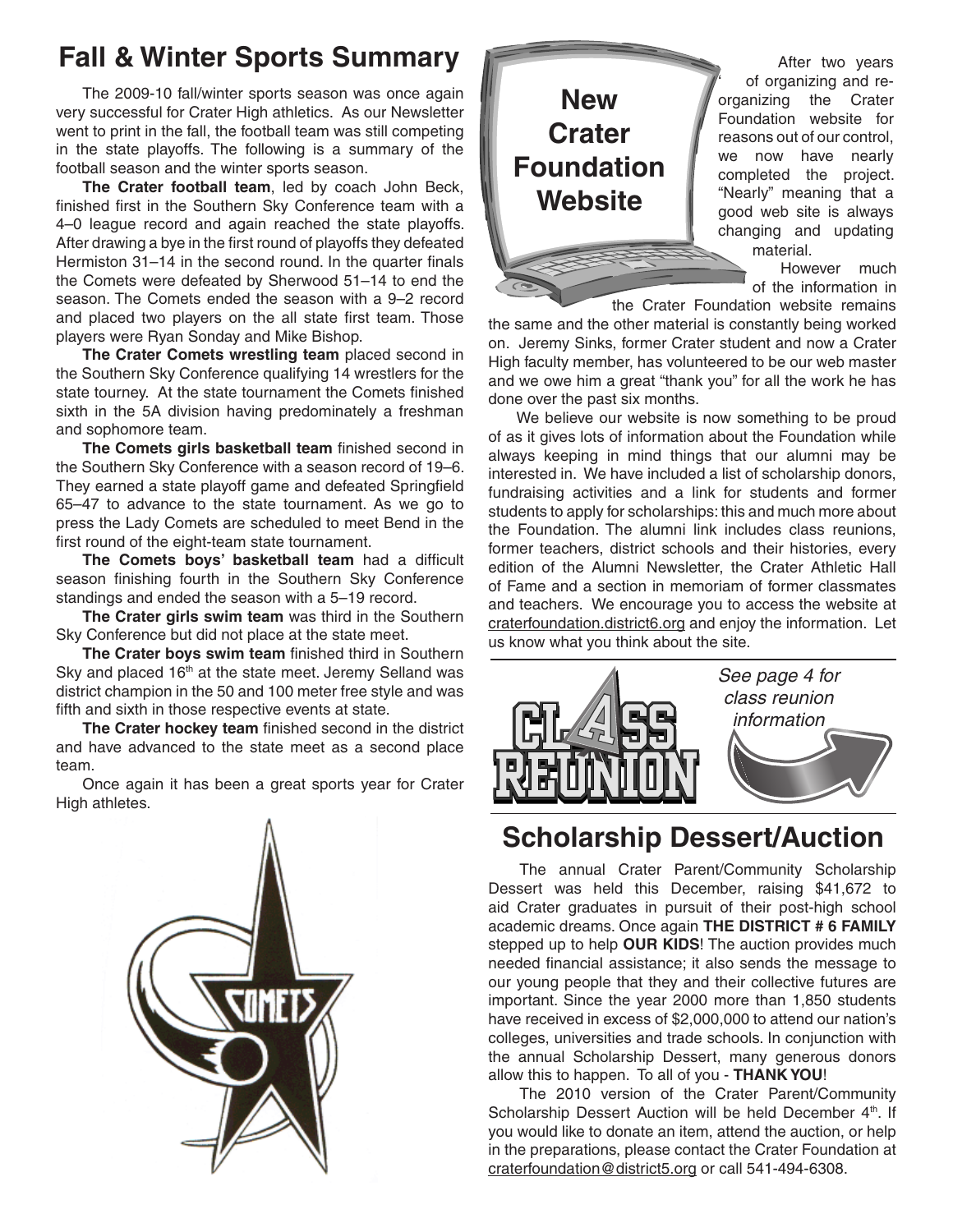## **Fall & Winter Sports Summary**

The 2009-10 fall/winter sports season was once again very successful for Crater High athletics. As our Newsletter went to print in the fall, the football team was still competing in the state playoffs. The following is a summary of the football season and the winter sports season.

**The Crater football team**, led by coach John Beck, finished first in the Southern Sky Conference team with a 4–0 league record and again reached the state playoffs. After drawing a bye in the first round of playoffs they defeated Hermiston 31–14 in the second round. In the quarter finals the Comets were defeated by Sherwood 51–14 to end the season. The Comets ended the season with a 9–2 record and placed two players on the all state first team. Those players were Ryan Sonday and Mike Bishop.

**The Crater Comets wrestling team** placed second in the Southern Sky Conference qualifying 14 wrestlers for the state tourney. At the state tournament the Comets finished sixth in the 5A division having predominately a freshman and sophomore team.

**The Comets girls basketball team** finished second in the Southern Sky Conference with a season record of 19–6. They earned a state playoff game and defeated Springfield 65–47 to advance to the state tournament. As we go to press the Lady Comets are scheduled to meet Bend in the first round of the eight-team state tournament.

**The Comets boys' basketball team** had a difficult season finishing fourth in the Southern Sky Conference standings and ended the season with a 5–19 record.

**The Crater girls swim team** was third in the Southern Sky Conference but did not place at the state meet.

**The Crater boys swim team** finished third in Southern Sky and placed  $16<sup>th</sup>$  at the state meet. Jeremy Selland was district champion in the 50 and 100 meter free style and was fifth and sixth in those respective events at state.

**The Crater hockey team** finished second in the district and have advanced to the state meet as a second place team.

Once again it has been a great sports year for Crater High athletes.





 After two years ' of organizing and reorganizing the Crater Foundation website for reasons out of our control, we now have nearly completed the project. "Nearly" meaning that a good web site is always changing and updating material.

However much of the information in

the Crater Foundation website remains

the same and the other material is constantly being worked on. Jeremy Sinks, former Crater student and now a Crater High faculty member, has volunteered to be our web master and we owe him a great "thank you" for all the work he has done over the past six months.

We believe our website is now something to be proud of as it gives lots of information about the Foundation while always keeping in mind things that our alumni may be interested in. We have included a list of scholarship donors, fundraising activities and a link for students and former students to apply for scholarships: this and much more about the Foundation. The alumni link includes class reunions, former teachers, district schools and their histories, every edition of the Alumni Newsletter, the Crater Athletic Hall of Fame and a section in memoriam of former classmates and teachers. We encourage you to access the website at craterfoundation.district6.org and enjoy the information. Let us know what you think about the site.



### **Scholarship Dessert/Auction**

The annual Crater Parent/Community Scholarship Dessert was held this December, raising \$41,672 to aid Crater graduates in pursuit of their post-high school academic dreams. Once again **THE DISTRICT # 6 FAMILY** stepped up to help **OUR KIDS**! The auction provides much needed financial assistance; it also sends the message to our young people that they and their collective futures are important. Since the year 2000 more than 1,850 students have received in excess of \$2,000,000 to attend our nation's colleges, universities and trade schools. In conjunction with the annual Scholarship Dessert, many generous donors allow this to happen. To all of you - **THANK YOU**!

The 2010 version of the Crater Parent/Community Scholarship Dessert Auction will be held December 4<sup>th</sup>. If you would like to donate an item, attend the auction, or help in the preparations, please contact the Crater Foundation at craterfoundation@district5.org or call 541-494-6308.